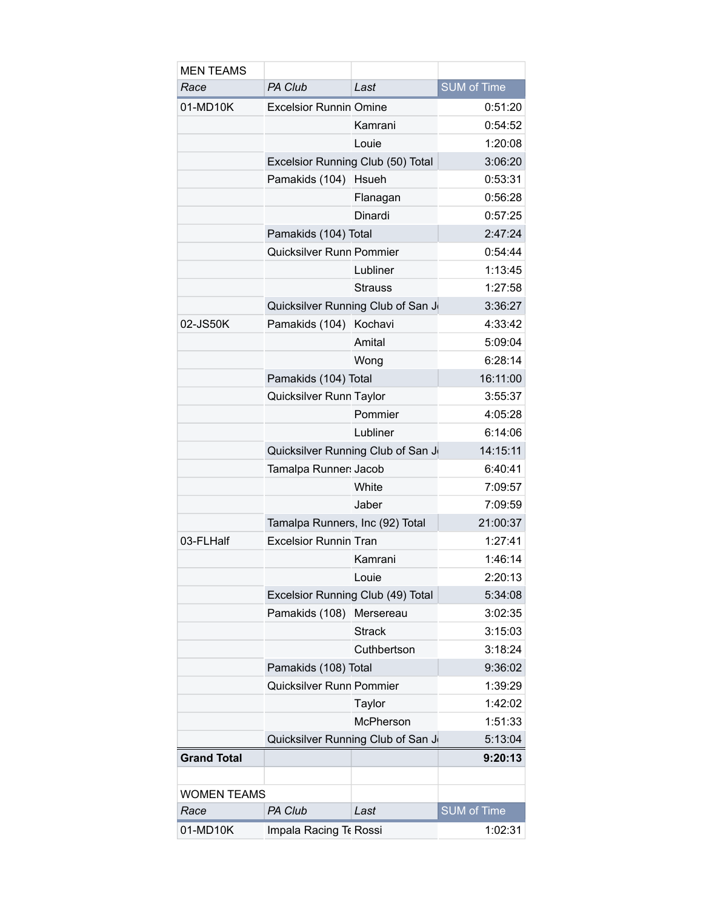| <b>MEN TEAMS</b>   |                                                  |                                   |                    |
|--------------------|--------------------------------------------------|-----------------------------------|--------------------|
| Race               | PA Club                                          | Last                              | <b>SUM of Time</b> |
| 01-MD10K           | <b>Excelsior Runnin Omine</b>                    |                                   | 0:51:20            |
|                    |                                                  | Kamrani                           | 0:54:52            |
|                    |                                                  | Louie                             | 1:20:08            |
|                    | Excelsior Running Club (50) Total                |                                   | 3:06:20            |
|                    | Pamakids (104)                                   | Hsueh                             | 0:53:31            |
|                    |                                                  | Flanagan                          | 0:56:28            |
|                    |                                                  | Dinardi                           | 0:57:25            |
|                    | Pamakids (104) Total<br>Quicksilver Runn Pommier |                                   | 2:47:24            |
|                    |                                                  |                                   | 0:54:44            |
|                    |                                                  | Lubliner                          | 1:13:45            |
|                    |                                                  | <b>Strauss</b>                    | 1:27:58            |
|                    | Quicksilver Running Club of San J                |                                   | 3:36:27            |
| 02-JS50K           | Pamakids (104) Kochavi                           |                                   | 4:33:42            |
|                    |                                                  | Amital                            | 5:09:04            |
|                    |                                                  | Wong                              | 6:28:14            |
|                    | Pamakids (104) Total                             |                                   | 16:11:00           |
|                    | Quicksilver Runn Taylor                          |                                   | 3:55:37            |
|                    |                                                  | Pommier                           | 4:05:28            |
|                    |                                                  | Lubliner                          | 6:14:06            |
|                    |                                                  | Quicksilver Running Club of San J |                    |
|                    | Tamalpa Runner: Jacob                            |                                   | 6:40:41            |
|                    |                                                  | White                             | 7:09:57            |
|                    |                                                  | Jaber                             | 7:09:59            |
|                    | Tamalpa Runners, Inc (92) Total                  |                                   | 21:00:37           |
| 03-FLHalf          | <b>Excelsior Runnin Tran</b>                     |                                   | 1:27:41            |
|                    |                                                  | Kamrani                           | 1:46:14            |
|                    |                                                  | Louie                             | 2:20:13            |
|                    | Excelsior Running Club (49) Total                |                                   | 5:34:08            |
|                    | Pamakids (108)                                   | Mersereau                         | 3:02:35            |
|                    |                                                  | <b>Strack</b>                     | 3:15:03            |
|                    |                                                  | Cuthbertson                       | 3:18:24            |
|                    | Pamakids (108) Total                             |                                   | 9:36:02            |
|                    | Quicksilver Runn Pommier                         |                                   | 1:39:29            |
|                    |                                                  | Taylor                            | 1:42:02            |
|                    |                                                  | McPherson                         | 1:51:33            |
|                    | Quicksilver Running Club of San J                | 5:13:04                           |                    |
| <b>Grand Total</b> |                                                  |                                   | 9:20:13            |
|                    |                                                  |                                   |                    |
| <b>WOMEN TEAMS</b> |                                                  |                                   |                    |
| Race               | PA Club                                          | Last                              | <b>SUM of Time</b> |
| 01-MD10K           | Impala Racing Te Rossi                           |                                   | 1:02:31            |